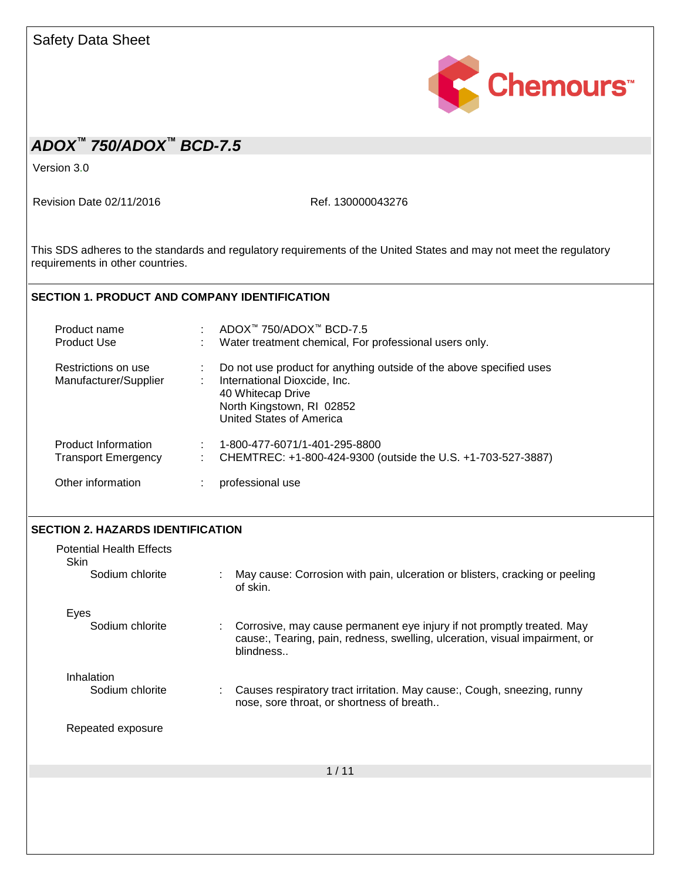| <b>Safety Data Sheet</b>                                 |                                                                                                                                                                                                |  |  |  |  |
|----------------------------------------------------------|------------------------------------------------------------------------------------------------------------------------------------------------------------------------------------------------|--|--|--|--|
|                                                          | Chemours <sup>*</sup>                                                                                                                                                                          |  |  |  |  |
| ADOX <sup>™</sup> 750/ADOX™ BCD-7.5                      |                                                                                                                                                                                                |  |  |  |  |
| Version 3.0                                              |                                                                                                                                                                                                |  |  |  |  |
| Revision Date 02/11/2016                                 | Ref. 130000043276                                                                                                                                                                              |  |  |  |  |
| requirements in other countries.                         | This SDS adheres to the standards and regulatory requirements of the United States and may not meet the regulatory                                                                             |  |  |  |  |
| <b>SECTION 1. PRODUCT AND COMPANY IDENTIFICATION</b>     |                                                                                                                                                                                                |  |  |  |  |
| Product name<br>Product Use                              | : ADOX™ 750/ADOX™ BCD-7.5<br>Water treatment chemical, For professional users only.                                                                                                            |  |  |  |  |
| Restrictions on use<br>Manufacturer/Supplier             | Do not use product for anything outside of the above specified uses<br>÷.<br>International Dioxcide, Inc.<br>40 Whitecap Drive<br>North Kingstown, RI 02852<br><b>United States of America</b> |  |  |  |  |
| <b>Product Information</b><br><b>Transport Emergency</b> | 1-800-477-6071/1-401-295-8800<br>CHEMTREC: +1-800-424-9300 (outside the U.S. +1-703-527-3887)                                                                                                  |  |  |  |  |
| Other information                                        | professional use                                                                                                                                                                               |  |  |  |  |
| <b>SECTION 2. HAZARDS IDENTIFICATION</b>                 |                                                                                                                                                                                                |  |  |  |  |
| <b>Potential Health Effects</b><br><b>Skin</b>           |                                                                                                                                                                                                |  |  |  |  |
| Sodium chlorite                                          | May cause: Corrosion with pain, ulceration or blisters, cracking or peeling<br>of skin.                                                                                                        |  |  |  |  |
| Eyes<br>Sodium chlorite                                  | Corrosive, may cause permanent eye injury if not promptly treated. May<br>cause:, Tearing, pain, redness, swelling, ulceration, visual impairment, or<br>blindness                             |  |  |  |  |
| Inhalation<br>Sodium chlorite                            | Causes respiratory tract irritation. May cause:, Cough, sneezing, runny<br>nose, sore throat, or shortness of breath                                                                           |  |  |  |  |
| Repeated exposure                                        |                                                                                                                                                                                                |  |  |  |  |
|                                                          | 1/11                                                                                                                                                                                           |  |  |  |  |
|                                                          |                                                                                                                                                                                                |  |  |  |  |
|                                                          |                                                                                                                                                                                                |  |  |  |  |
|                                                          |                                                                                                                                                                                                |  |  |  |  |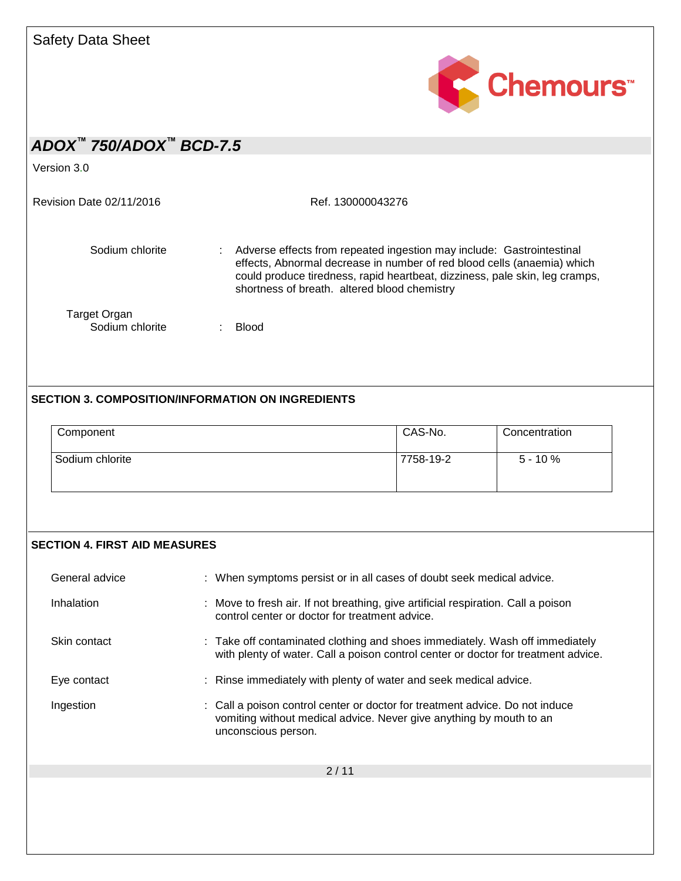

Version 3.0

Revision Date 02/11/2016 Ref. 130000043276

Sodium chlorite : Adverse effects from repeated ingestion may include: Gastrointestinal effects, Abnormal decrease in number of red blood cells (anaemia) which could produce tiredness, rapid heartbeat, dizziness, pale skin, leg cramps, shortness of breath. altered blood chemistry Target Organ

Sodium chlorite : Blood

### **SECTION 3. COMPOSITION/INFORMATION ON INGREDIENTS**

| Component       | CAS-No.   | Concentration |  |  |
|-----------------|-----------|---------------|--|--|
| Sodium chlorite | 7758-19-2 | $5 - 10 \%$   |  |  |

### **SECTION 4. FIRST AID MEASURES**

| General advice | : When symptoms persist or in all cases of doubt seek medical advice.                                                                                                      |
|----------------|----------------------------------------------------------------------------------------------------------------------------------------------------------------------------|
| Inhalation     | : Move to fresh air. If not breathing, give artificial respiration. Call a poison<br>control center or doctor for treatment advice.                                        |
| Skin contact   | : Take off contaminated clothing and shoes immediately. Wash off immediately<br>with plenty of water. Call a poison control center or doctor for treatment advice.         |
| Eye contact    | : Rinse immediately with plenty of water and seek medical advice.                                                                                                          |
| Ingestion      | : Call a poison control center or doctor for treatment advice. Do not induce<br>vomiting without medical advice. Never give anything by mouth to an<br>unconscious person. |
|                | 2/11                                                                                                                                                                       |
|                |                                                                                                                                                                            |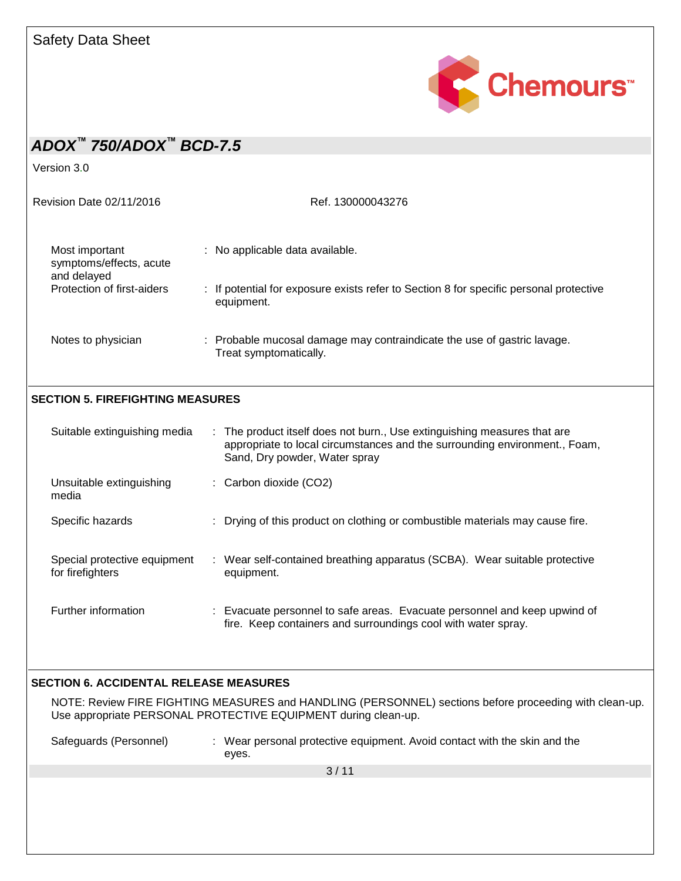

Version 3.0

| Revision Date 02/11/2016                                 | Ref. 130000043276                                                                                    |
|----------------------------------------------------------|------------------------------------------------------------------------------------------------------|
| Most important<br>symptoms/effects, acute<br>and delayed | : No applicable data available.                                                                      |
| Protection of first-aiders                               | : If potential for exposure exists refer to Section 8 for specific personal protective<br>equipment. |
| Notes to physician                                       | : Probable mucosal damage may contraindicate the use of gastric lavage.<br>Treat symptomatically.    |

### **SECTION 5. FIREFIGHTING MEASURES**

| Suitable extinguishing media                     | : The product itself does not burn., Use extinguishing measures that are<br>appropriate to local circumstances and the surrounding environment., Foam,<br>Sand, Dry powder, Water spray |
|--------------------------------------------------|-----------------------------------------------------------------------------------------------------------------------------------------------------------------------------------------|
| Unsuitable extinguishing<br>media                | $\therefore$ Carbon dioxide (CO2)                                                                                                                                                       |
| Specific hazards                                 | : Drying of this product on clothing or combustible materials may cause fire.                                                                                                           |
| Special protective equipment<br>for firefighters | : Wear self-contained breathing apparatus (SCBA). Wear suitable protective<br>equipment.                                                                                                |
| Further information                              | : Evacuate personnel to safe areas. Evacuate personnel and keep upwind of<br>fire. Keep containers and surroundings cool with water spray.                                              |

### **SECTION 6. ACCIDENTAL RELEASE MEASURES**

NOTE: Review FIRE FIGHTING MEASURES and HANDLING (PERSONNEL) sections before proceeding with clean-up. Use appropriate PERSONAL PROTECTIVE EQUIPMENT during clean-up.

Safeguards (Personnel) : Wear personal protective equipment. Avoid contact with the skin and the eyes.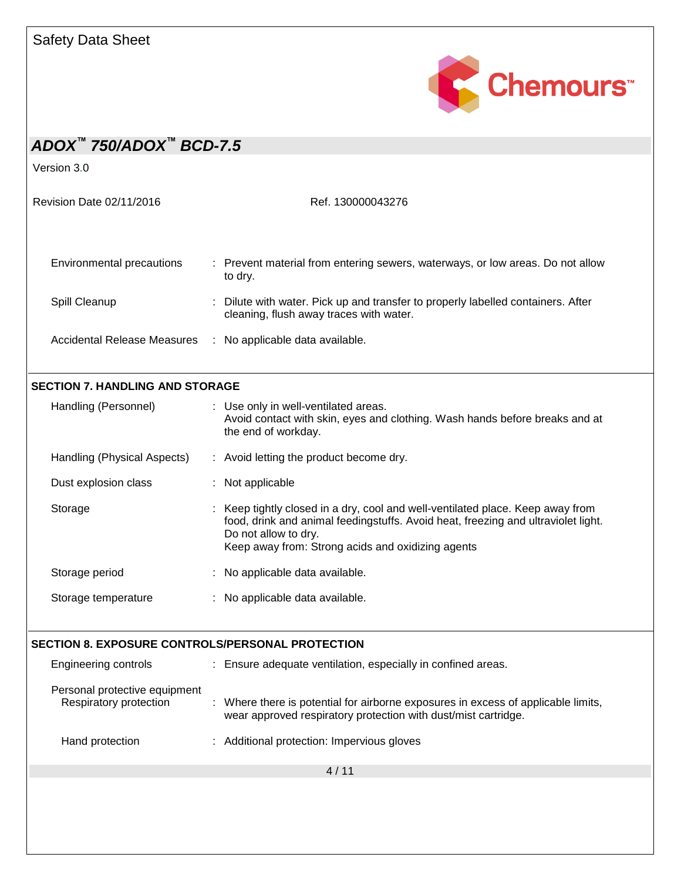

| ADOX <sup>™</sup> 750/ADOX <sup>™</sup> BCD-7.5         |                                                                                                                                                                                                                                                  |  |  |  |  |
|---------------------------------------------------------|--------------------------------------------------------------------------------------------------------------------------------------------------------------------------------------------------------------------------------------------------|--|--|--|--|
| Version 3.0                                             |                                                                                                                                                                                                                                                  |  |  |  |  |
| Revision Date 02/11/2016                                | Ref. 130000043276                                                                                                                                                                                                                                |  |  |  |  |
| Environmental precautions                               | : Prevent material from entering sewers, waterways, or low areas. Do not allow<br>to dry.                                                                                                                                                        |  |  |  |  |
| Spill Cleanup                                           | : Dilute with water. Pick up and transfer to properly labelled containers. After<br>cleaning, flush away traces with water.                                                                                                                      |  |  |  |  |
| <b>Accidental Release Measures</b>                      | : No applicable data available.                                                                                                                                                                                                                  |  |  |  |  |
| <b>SECTION 7. HANDLING AND STORAGE</b>                  |                                                                                                                                                                                                                                                  |  |  |  |  |
| Handling (Personnel)                                    | : Use only in well-ventilated areas.<br>Avoid contact with skin, eyes and clothing. Wash hands before breaks and at<br>the end of workday.                                                                                                       |  |  |  |  |
| Handling (Physical Aspects)                             | : Avoid letting the product become dry.                                                                                                                                                                                                          |  |  |  |  |
| Dust explosion class                                    | : Not applicable                                                                                                                                                                                                                                 |  |  |  |  |
| Storage                                                 | : Keep tightly closed in a dry, cool and well-ventilated place. Keep away from<br>food, drink and animal feedingstuffs. Avoid heat, freezing and ultraviolet light.<br>Do not allow to dry.<br>Keep away from: Strong acids and oxidizing agents |  |  |  |  |
| Storage period                                          | : No applicable data available.                                                                                                                                                                                                                  |  |  |  |  |
| Storage temperature                                     | : No applicable data available.                                                                                                                                                                                                                  |  |  |  |  |
| SECTION 8. EXPOSURE CONTROLS/PERSONAL PROTECTION        |                                                                                                                                                                                                                                                  |  |  |  |  |
| <b>Engineering controls</b>                             | : Ensure adequate ventilation, especially in confined areas.                                                                                                                                                                                     |  |  |  |  |
| Personal protective equipment<br>Respiratory protection | : Where there is potential for airborne exposures in excess of applicable limits,<br>wear approved respiratory protection with dust/mist cartridge.                                                                                              |  |  |  |  |
| Hand protection                                         | Additional protection: Impervious gloves                                                                                                                                                                                                         |  |  |  |  |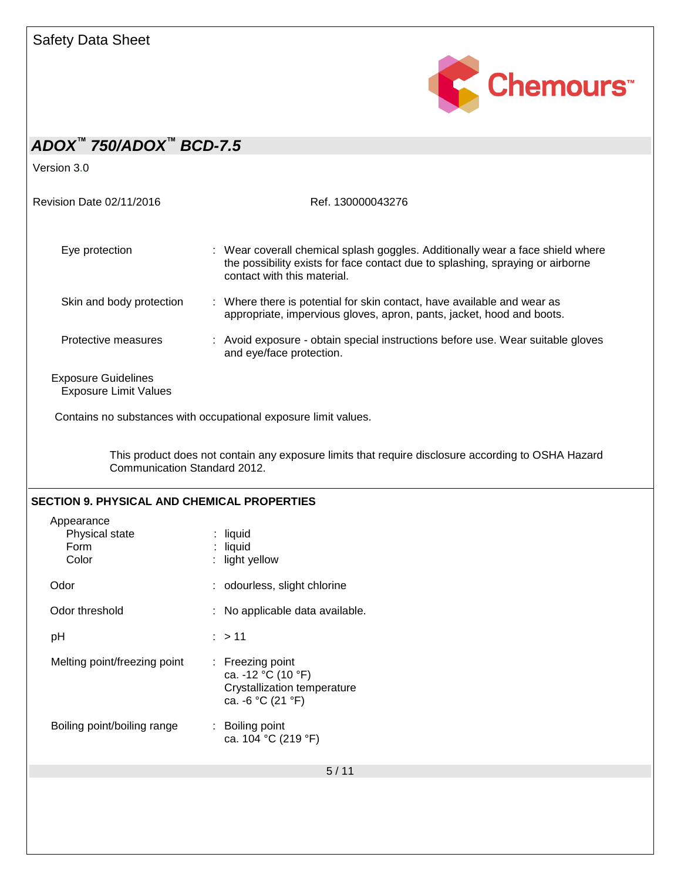

| ADOX <sup>™</sup> 750/ADOX <sup>™</sup> BCD-7.5            |                                                                                                                                                                                                 |
|------------------------------------------------------------|-------------------------------------------------------------------------------------------------------------------------------------------------------------------------------------------------|
| Version 3.0                                                |                                                                                                                                                                                                 |
| Revision Date 02/11/2016                                   | Ref. 130000043276                                                                                                                                                                               |
| Eye protection                                             | : Wear coverall chemical splash goggles. Additionally wear a face shield where<br>the possibility exists for face contact due to splashing, spraying or airborne<br>contact with this material. |
| Skin and body protection                                   | : Where there is potential for skin contact, have available and wear as<br>appropriate, impervious gloves, apron, pants, jacket, hood and boots.                                                |
| Protective measures                                        | : Avoid exposure - obtain special instructions before use. Wear suitable gloves<br>and eye/face protection.                                                                                     |
| <b>Exposure Guidelines</b><br><b>Exposure Limit Values</b> |                                                                                                                                                                                                 |
|                                                            | Contains no substances with occupational exposure limit values.                                                                                                                                 |
| Communication Standard 2012.                               | This product does not contain any exposure limits that require disclosure according to OSHA Hazard                                                                                              |
| <b>SECTION 9. PHYSICAL AND CHEMICAL PROPERTIES</b>         |                                                                                                                                                                                                 |
| Appearance<br>Physical state<br>Form<br>Color              | $:$ liquid<br>$:$ liquid<br>light yellow                                                                                                                                                        |
| Odor                                                       | : odourless, slight chlorine                                                                                                                                                                    |
| Odor threshold                                             | : No applicable data available.                                                                                                                                                                 |
| pH                                                         | : > 11                                                                                                                                                                                          |
| Melting point/freezing point                               | Freezing point<br>ca. -12 °C (10 °F)<br>Crystallization temperature<br>ca. -6 °C (21 °F)                                                                                                        |
| Boiling point/boiling range                                | Boiling point<br>ca. 104 °C (219 °F)                                                                                                                                                            |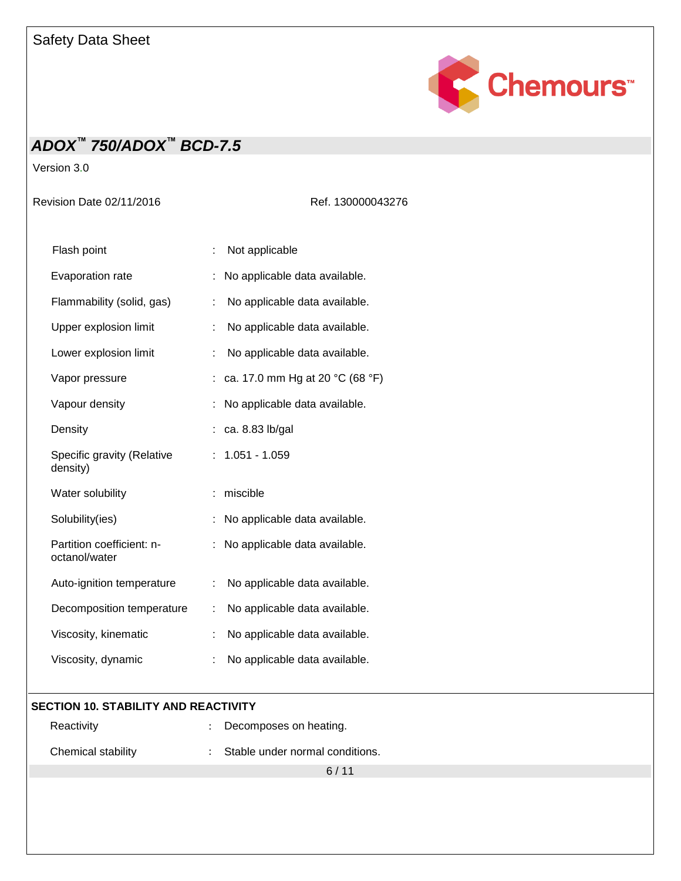

Version 3.0

Revision Date 02/11/2016 Ref. 130000043276

| Flash point                                |   | Not applicable                  |
|--------------------------------------------|---|---------------------------------|
| Evaporation rate                           |   | No applicable data available.   |
| Flammability (solid, gas)                  |   | No applicable data available.   |
| Upper explosion limit                      |   | No applicable data available.   |
| Lower explosion limit                      | ÷ | No applicable data available.   |
| Vapor pressure                             |   | ca. 17.0 mm Hg at 20 °C (68 °F) |
| Vapour density                             |   | No applicable data available.   |
| Density                                    |   | ca. 8.83 lb/gal                 |
| Specific gravity (Relative<br>density)     |   | $1.051 - 1.059$                 |
| Water solubility                           | ÷ | miscible                        |
| Solubility(ies)                            |   | No applicable data available.   |
| Partition coefficient: n-<br>octanol/water | ÷ | No applicable data available.   |
| Auto-ignition temperature                  | ÷ | No applicable data available.   |
| Decomposition temperature                  | ÷ | No applicable data available.   |
| Viscosity, kinematic                       |   | No applicable data available.   |
| Viscosity, dynamic                         |   | No applicable data available.   |

### **SECTION 10. STABILITY AND REACTIVITY**

| Reactivity         | Decomposes on heating.            |  |
|--------------------|-----------------------------------|--|
| Chemical stability | : Stable under normal conditions. |  |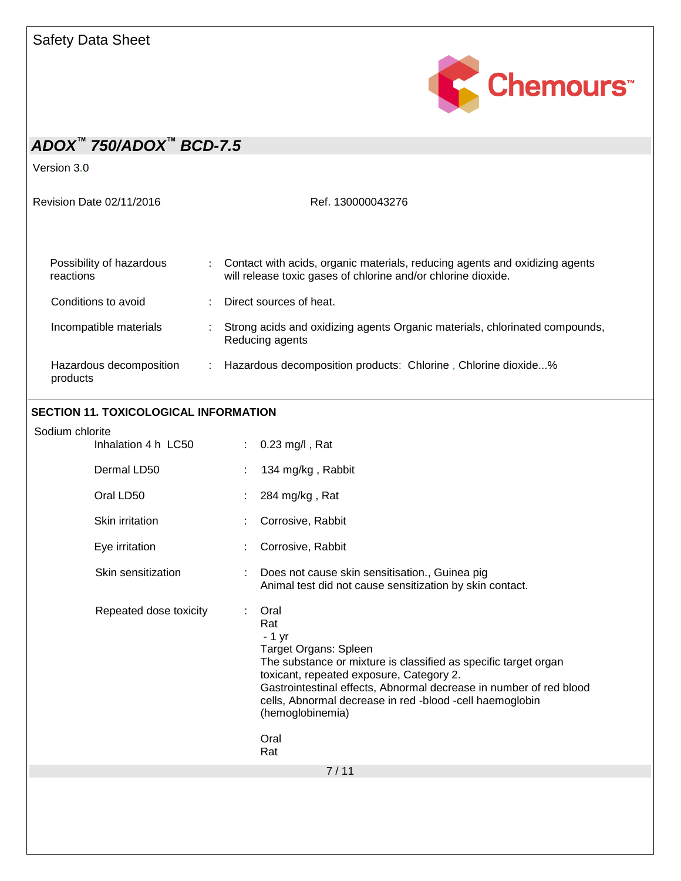

Version 3.0

Revision Date 02/11/2016 Ref. 130000043276

| Possibility of hazardous<br>reactions | Contact with acids, organic materials, reducing agents and oxidizing agents<br>will release toxic gases of chlorine and/or chlorine dioxide. |
|---------------------------------------|----------------------------------------------------------------------------------------------------------------------------------------------|
| Conditions to avoid                   | Direct sources of heat.                                                                                                                      |
| Incompatible materials                | Strong acids and oxidizing agents Organic materials, chlorinated compounds,<br>Reducing agents                                               |
| Hazardous decomposition<br>products   | Hazardous decomposition products: Chlorine, Chlorine dioxide%                                                                                |

### **SECTION 11. TOXICOLOGICAL INFORMATION**

| Sodium chlorite        |   |                                                                                                                                                                                                                                                                                                                                     |
|------------------------|---|-------------------------------------------------------------------------------------------------------------------------------------------------------------------------------------------------------------------------------------------------------------------------------------------------------------------------------------|
| Inhalation 4 h LC50    | ÷ | $0.23$ mg/l, Rat                                                                                                                                                                                                                                                                                                                    |
| Dermal LD50            |   | 134 mg/kg, Rabbit                                                                                                                                                                                                                                                                                                                   |
| Oral LD50              |   | 284 mg/kg, Rat                                                                                                                                                                                                                                                                                                                      |
| Skin irritation        |   | Corrosive, Rabbit                                                                                                                                                                                                                                                                                                                   |
| Eye irritation         |   | Corrosive, Rabbit                                                                                                                                                                                                                                                                                                                   |
| Skin sensitization     |   | Does not cause skin sensitisation., Guinea pig<br>Animal test did not cause sensitization by skin contact.                                                                                                                                                                                                                          |
| Repeated dose toxicity |   | Oral<br>Rat<br>$-1$ yr<br>Target Organs: Spleen<br>The substance or mixture is classified as specific target organ<br>toxicant, repeated exposure, Category 2.<br>Gastrointestinal effects, Abnormal decrease in number of red blood<br>cells, Abnormal decrease in red -blood -cell haemoglobin<br>(hemoglobinemia)<br>Oral<br>Rat |
|                        |   | 7/11                                                                                                                                                                                                                                                                                                                                |
|                        |   |                                                                                                                                                                                                                                                                                                                                     |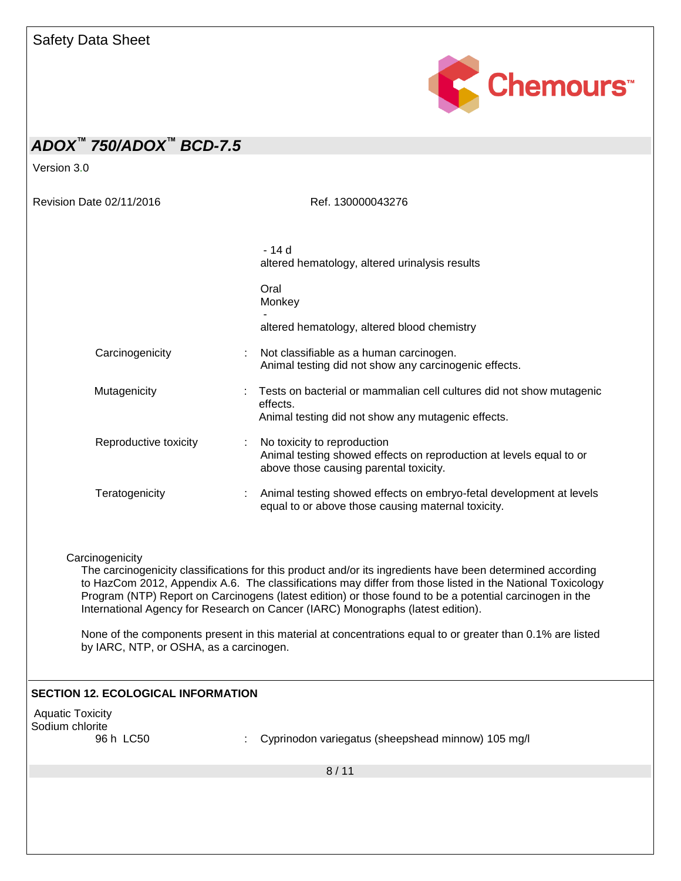

Version 3.0

Revision Date 02/11/2016 Ref. 130000043276

|                       | - 14 d<br>altered hematology, altered urinalysis results                                                                                     |  |
|-----------------------|----------------------------------------------------------------------------------------------------------------------------------------------|--|
|                       | Oral<br>Monkey                                                                                                                               |  |
|                       | altered hematology, altered blood chemistry                                                                                                  |  |
| Carcinogenicity       | : Not classifiable as a human carcinogen.<br>Animal testing did not show any carcinogenic effects.                                           |  |
| Mutagenicity          | : Tests on bacterial or mammalian cell cultures did not show mutagenic<br>effects.<br>Animal testing did not show any mutagenic effects.     |  |
| Reproductive toxicity | No toxicity to reproduction<br>Animal testing showed effects on reproduction at levels equal to or<br>above those causing parental toxicity. |  |
| Teratogenicity        | Animal testing showed effects on embryo-fetal development at levels<br>equal to or above those causing maternal toxicity.                    |  |

**Carcinogenicity** 

The carcinogenicity classifications for this product and/or its ingredients have been determined according to HazCom 2012, Appendix A.6. The classifications may differ from those listed in the National Toxicology Program (NTP) Report on Carcinogens (latest edition) or those found to be a potential carcinogen in the International Agency for Research on Cancer (IARC) Monographs (latest edition).

None of the components present in this material at concentrations equal to or greater than 0.1% are listed by IARC, NTP, or OSHA, as a carcinogen.

### **SECTION 12. ECOLOGICAL INFORMATION**

Aquatic Toxicity Sodium chlorite<br>96 h LC50

: Cyprinodon variegatus (sheepshead minnow) 105 mg/l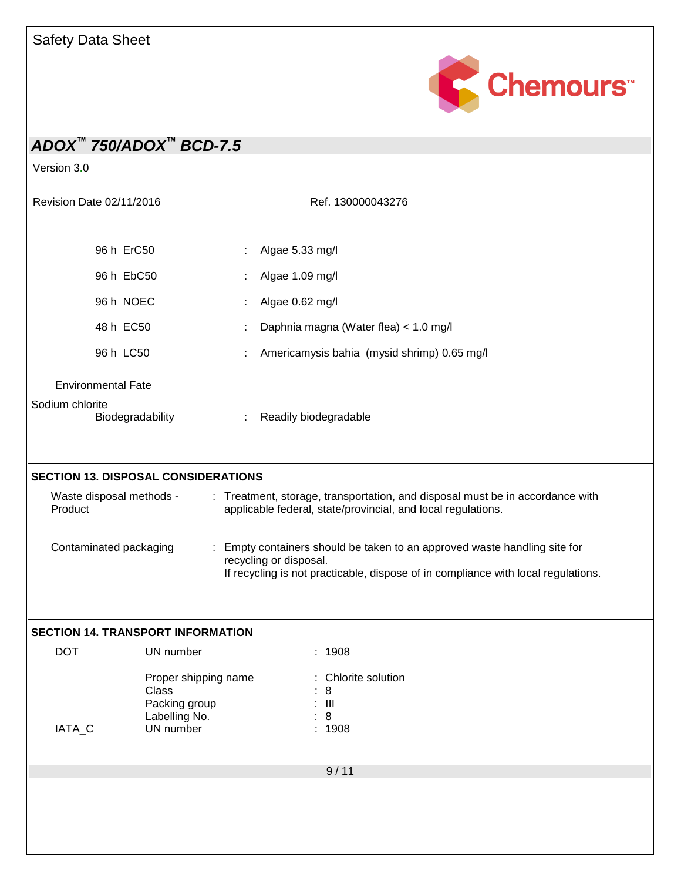

| ADOX <sup>™</sup> 750/ADOX <sup>™</sup> BCD-7.5<br>Version 3.0 |                                                                              |   |                                                                                                                                                                                                                                                                                                                                           |
|----------------------------------------------------------------|------------------------------------------------------------------------------|---|-------------------------------------------------------------------------------------------------------------------------------------------------------------------------------------------------------------------------------------------------------------------------------------------------------------------------------------------|
| Revision Date 02/11/2016                                       |                                                                              |   | Ref. 130000043276                                                                                                                                                                                                                                                                                                                         |
| 96 h ErC50                                                     |                                                                              |   | Algae 5.33 mg/l                                                                                                                                                                                                                                                                                                                           |
| 96 h EbC50                                                     |                                                                              |   | Algae 1.09 mg/l                                                                                                                                                                                                                                                                                                                           |
| 96 h NOEC                                                      |                                                                              |   | Algae 0.62 mg/l                                                                                                                                                                                                                                                                                                                           |
| 48 h EC50                                                      |                                                                              |   | Daphnia magna (Water flea) < 1.0 mg/l                                                                                                                                                                                                                                                                                                     |
| 96 h LC50                                                      |                                                                              |   | Americamysis bahia (mysid shrimp) 0.65 mg/l                                                                                                                                                                                                                                                                                               |
| <b>Environmental Fate</b>                                      |                                                                              |   |                                                                                                                                                                                                                                                                                                                                           |
| Sodium chlorite<br>Biodegradability                            |                                                                              | ÷ | Readily biodegradable                                                                                                                                                                                                                                                                                                                     |
| <b>SECTION 13. DISPOSAL CONSIDERATIONS</b>                     |                                                                              |   |                                                                                                                                                                                                                                                                                                                                           |
| Waste disposal methods -<br>Product<br>Contaminated packaging  |                                                                              |   | : Treatment, storage, transportation, and disposal must be in accordance with<br>applicable federal, state/provincial, and local regulations.<br>: Empty containers should be taken to an approved waste handling site for<br>recycling or disposal.<br>If recycling is not practicable, dispose of in compliance with local regulations. |
| <b>SECTION 14. TRANSPORT INFORMATION</b><br><b>DOT</b>         | UN number                                                                    |   | : 1908                                                                                                                                                                                                                                                                                                                                    |
| IATA_C                                                         | Proper shipping name<br>Class<br>Packing group<br>Labelling No.<br>UN number |   | : Chlorite solution<br>8<br>$\mathbf{III}$<br>8<br>: 1908                                                                                                                                                                                                                                                                                 |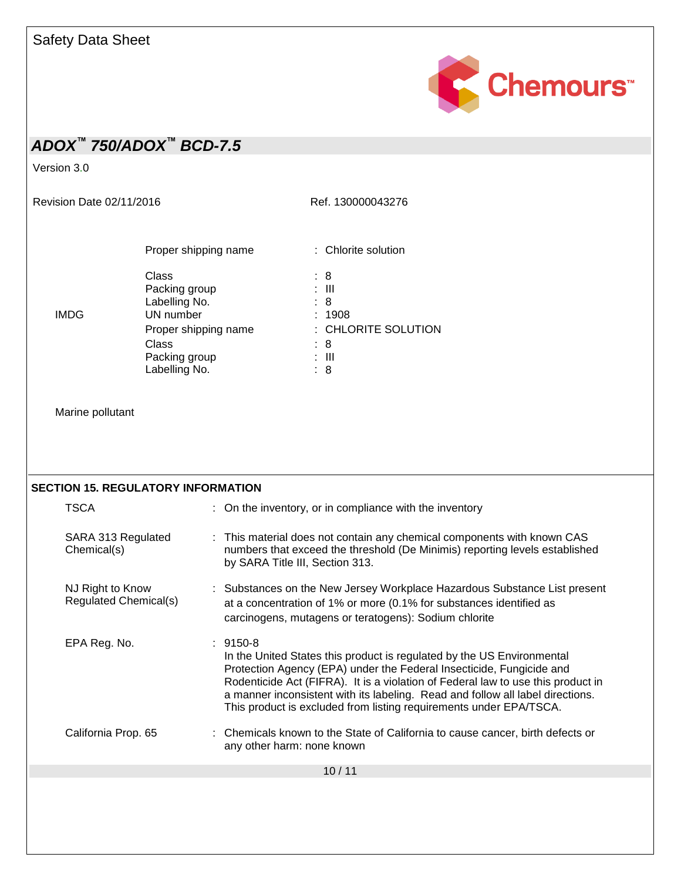

Version 3.0

Revision Date 02/11/2016 Ref. 130000043276

|      | Proper shipping name           | : Chlorite solution        |
|------|--------------------------------|----------------------------|
|      | Class<br>Packing group         | : 8<br>: III               |
| IMDG | Labelling No.<br>UN number     | : 8<br>: 1908              |
|      | Proper shipping name<br>Class  | : CHLORITE SOLUTION<br>: 8 |
|      | Packing group<br>Labelling No. | : III<br>: 8               |

Marine pollutant

| <b>SECTION 15. REGULATORY INFORMATION</b> |                                                                                                                                                                                                                                                                                                                                                                                                          |  |  |  |
|-------------------------------------------|----------------------------------------------------------------------------------------------------------------------------------------------------------------------------------------------------------------------------------------------------------------------------------------------------------------------------------------------------------------------------------------------------------|--|--|--|
| <b>TSCA</b>                               | : On the inventory, or in compliance with the inventory                                                                                                                                                                                                                                                                                                                                                  |  |  |  |
| SARA 313 Regulated<br>Chemical(s)         | : This material does not contain any chemical components with known CAS<br>numbers that exceed the threshold (De Minimis) reporting levels established<br>by SARA Title III, Section 313.                                                                                                                                                                                                                |  |  |  |
| NJ Right to Know<br>Regulated Chemical(s) | : Substances on the New Jersey Workplace Hazardous Substance List present<br>at a concentration of 1% or more (0.1% for substances identified as<br>carcinogens, mutagens or teratogens): Sodium chlorite                                                                                                                                                                                                |  |  |  |
| EPA Reg. No.                              | $: 9150-8$<br>In the United States this product is regulated by the US Environmental<br>Protection Agency (EPA) under the Federal Insecticide, Fungicide and<br>Rodenticide Act (FIFRA). It is a violation of Federal law to use this product in<br>a manner inconsistent with its labeling. Read and follow all label directions.<br>This product is excluded from listing requirements under EPA/TSCA. |  |  |  |
| California Prop. 65                       | : Chemicals known to the State of California to cause cancer, birth defects or<br>any other harm: none known                                                                                                                                                                                                                                                                                             |  |  |  |
| 10/11                                     |                                                                                                                                                                                                                                                                                                                                                                                                          |  |  |  |
|                                           |                                                                                                                                                                                                                                                                                                                                                                                                          |  |  |  |